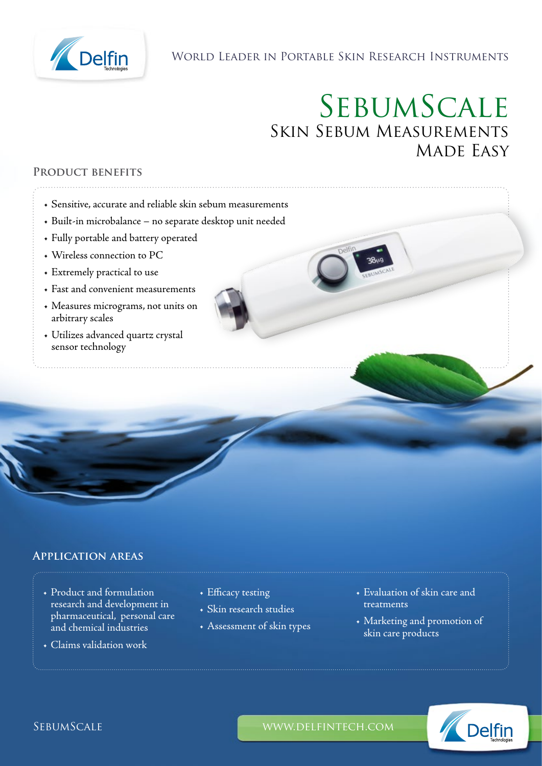

## World Leader in Portable Skin Research Instruments

# SebumScale Skin Sebum Measurements MADE EASY

#### **Product benefits**

- Sensitive, accurate and reliable skin sebum measurements
- Built-in microbalance no separate desktop unit needed
- Fully portable and battery operated
- Wireless connection to PC
- Extremely practical to use
- Fast and convenient measurements
- Measures micrograms, not units on arbitrary scales
- Utilizes advanced quartz crystal sensor technology

### **Application areas**

- Product and formulation research and development in pharmaceutical, personal care and chemical industries
- Claims validation work
- Efficacy testing
- Skin research studies
- Assessment of skin types
- Evaluation of skin care and treatments
- Marketing and promotion of skin care products



SEBUMSCALE WWW.DELFINTECH.COM